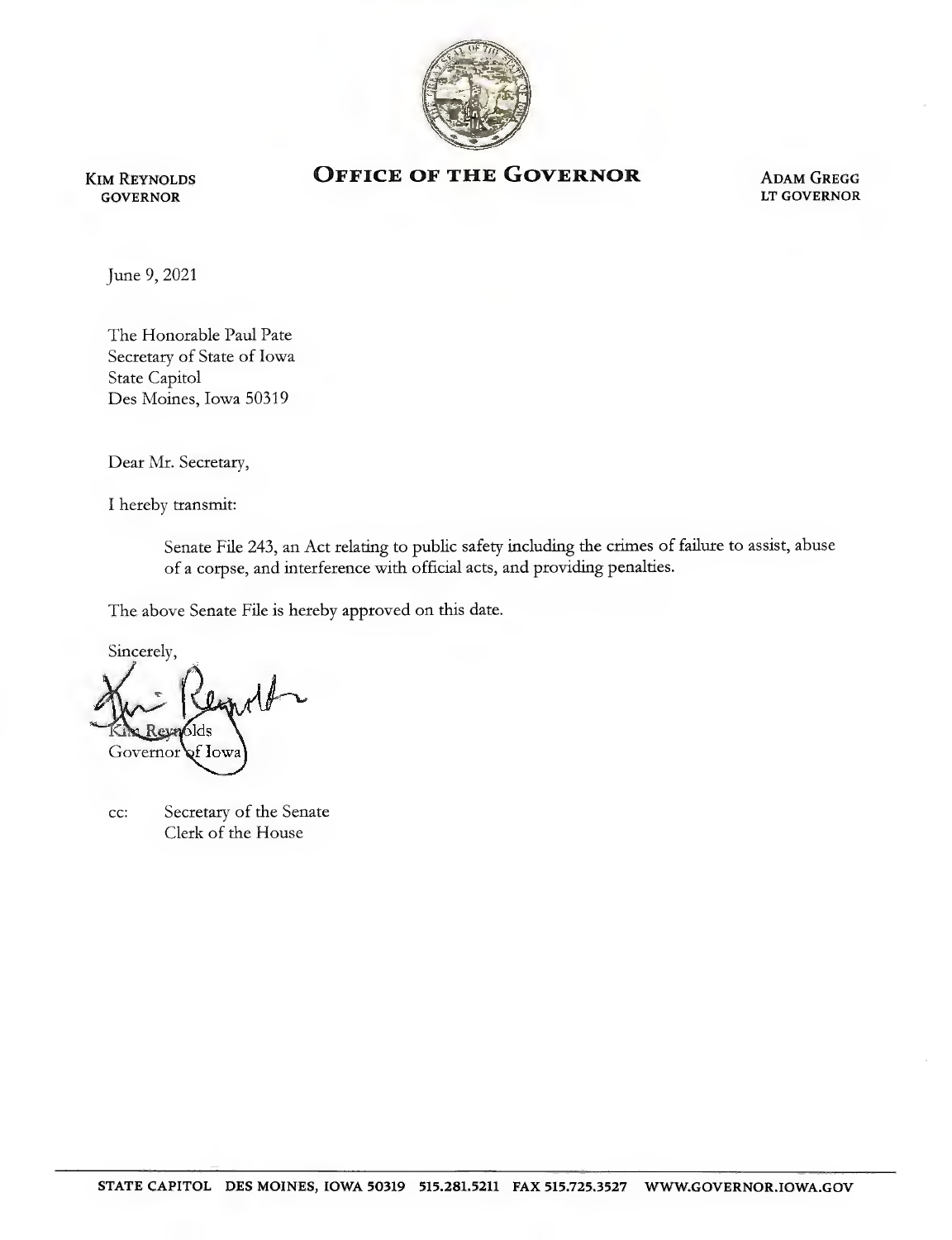

Kim Reynolds GOVERNOR

## OFFICE OF THE GOVERNOR ADAM GREGG

LT GOVERNOR

June 9, 2021

The Honorable Paul Pate Secretary of State of Iowa State Capitol Des Moines, Iowa 50319

Dear Mr. Secretary,

I hereby transmit:

Senate File 243, an Act relating to public safety including the crimes of failure to assist, abuse of a corpse, and interference with official acts, and providing penalties.

The above Senate File is hereby approved on this date.

Sincerely,  $\delta$ lds Governor  $\mathbf{\hat{F}}$  low

cc: Secretary of the Senate Clerk of the House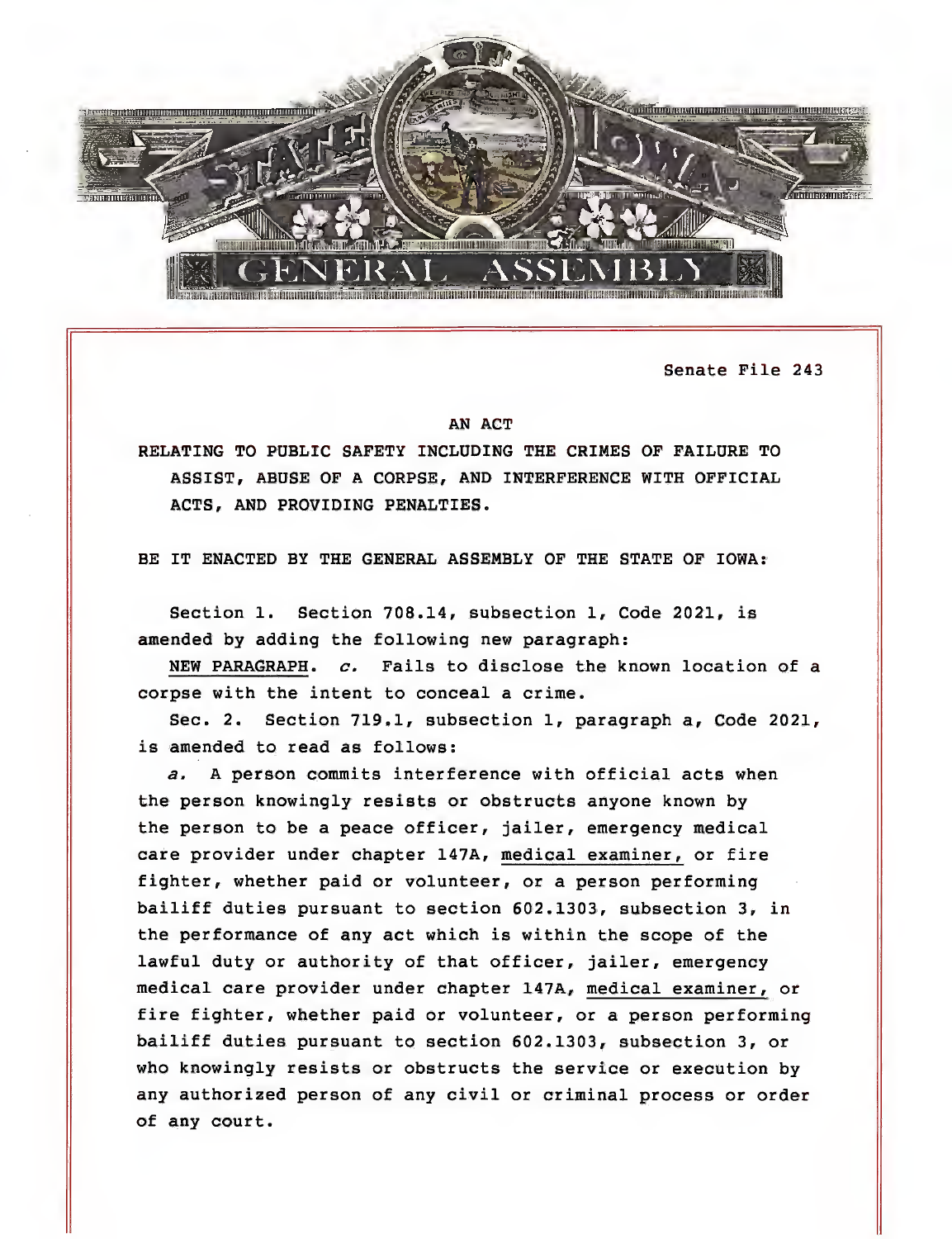

Senate File 243

## AN ACT

RELATING TO PUBLIC SAFETY INCLUDING THE CRIMES OF FAILURE TO ASSIST, ABUSE OF A CORPSE, AND INTERFERENCE WITH OFFICIAL ACTS, AND PROVIDING PENALTIES.

BE IT ENACTED BY THE GENERAL ASSEMBLY OF THE STATE OF IOWA:

Section 1. Section 708.14, subsection 1, Code 2021, is amended by adding the following new paragraph:

NEW PARAGRAPH, c. Fails to disclose the known location of a corpse with the intent to conceal a crime.

Sec. 2. Section 719.1, subsection 1, paragraph a, Code 2021, is amended to read as follows:

a, A person commits interference with official acts when the person knowingly resists or obstructs anyone known by the person to be a peace officer, jailer, emergency medical care provider under chapter 147A, medical examiner, or fire fighter, whether paid or volunteer, or a person performing bailiff duties pursuant to section 602.1303, subsection 3, in the performance of any act which is within the scope of the lawful duty or authority of that officer, jailer, emergency medical care provider under chapter 147A, medical examiner, or fire fighter, whether paid or volunteer, or a person performing bailiff duties pursuant to section 602.1303, subsection 3, or who knowingly resists or obstructs the service or execution by any authorized person of any civil or criminal process or order of any court.